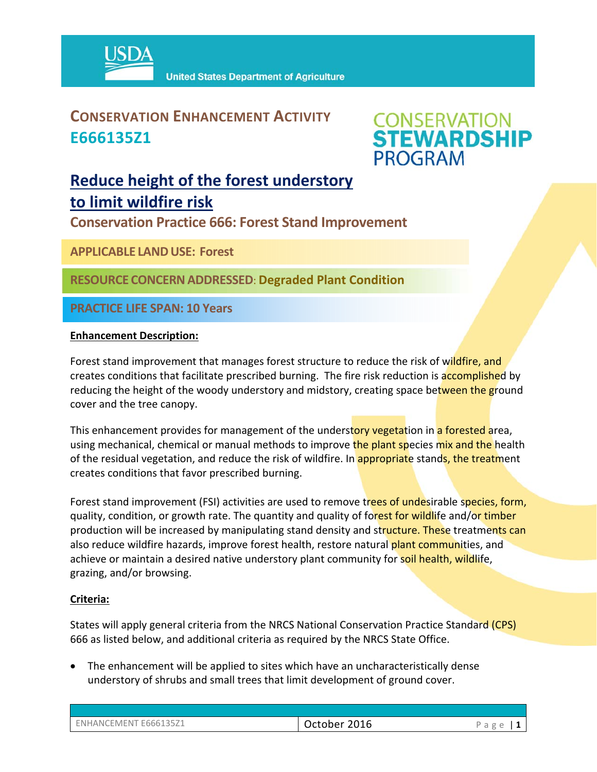

### **CONSERVATION ENHANCEMENT ACTIVITY E666135Z1**



## **Reduce height of the forest understory to limit wildfire risk**

**Conservation Practice 666: Forest Stand Improvement** 

**APPLICABLE LANDUSE: Forest**

**RESOURCE CONCERNADDRESSED**: **Degraded Plant Condition**

**PRACTICE LIFE SPAN: 10 Years**

#### **Enhancement Description:**

Forest stand improvement that manages forest structure to reduce the risk of wildfire, and creates conditions that facilitate prescribed burning. The fire risk reduction is accomplished by reducing the height of the woody understory and midstory, creating space between the ground cover and the tree canopy.

This enhancement provides for management of the understory vegetation in a forested area, using mechanical, chemical or manual methods to improve the plant species mix and the health of the residual vegetation, and reduce the risk of wildfire. In appropriate stands, the treatment creates conditions that favor prescribed burning.

Forest stand improvement (FSI) activities are used to remove trees of undesirable species, form, quality, condition, or growth rate. The quantity and quality of forest for wildlife and/or timber production will be increased by manipulating stand density and structure. These treatments can also reduce wildfire hazards, improve forest health, restore natural plant communities, and achieve or maintain a desired native understory plant community for soil health, wildlife, grazing, and/or browsing.

#### **Criteria:**

States will apply general criteria from the NRCS National Conservation Practice Standard (CPS) 666 as listed below, and additional criteria as required by the NRCS State Office.

 The enhancement will be applied to sites which have an uncharacteristically dense understory of shrubs and small trees that limit development of ground cover.

| ENHANCEMENT E666135Z1 | 2016<br>October | $\sigma$<br>ــ<br>u |
|-----------------------|-----------------|---------------------|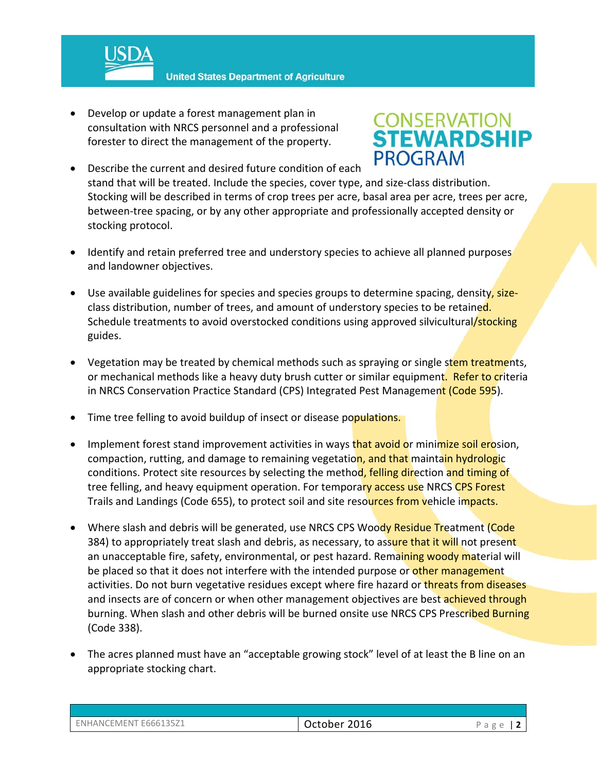

**United States Department of Agriculture** 

 Develop or update a forest management plan in consultation with NRCS personnel and a professional forester to direct the management of the property.

# **CONSERVATION<br>STEWARDSHIP PROGRAM**

- Describe the current and desired future condition of each stand that will be treated. Include the species, cover type, and size‐class distribution. Stocking will be described in terms of crop trees per acre, basal area per acre, trees per acre, between-tree spacing, or by any other appropriate and professionally accepted density or stocking protocol.
- Identify and retain preferred tree and understory species to achieve all planned purposes and landowner objectives.
- Use available guidelines for species and species groups to determine spacing, density, sizeclass distribution, number of trees, and amount of understory species to be retained. Schedule treatments to avoid overstocked conditions using approved silvicultural/stocking guides.
- Vegetation may be treated by chemical methods such as spraying or single stem treatments, or mechanical methods like a heavy duty brush cutter or similar equipment. Refer to criteria in NRCS Conservation Practice Standard (CPS) Integrated Pest Management (Code 595).
- Time tree felling to avoid buildup of insect or disease populations.
- Implement forest stand improvement activities in ways that avoid or minimize soil erosion, compaction, rutting, and damage to remaining vegetation, and that maintain hydrologic conditions. Protect site resources by selecting the method, felling direction and timing of tree felling, and heavy equipment operation. For temporary access use NRCS CPS Forest Trails and Landings (Code 655), to protect soil and site resources from vehicle impacts.
- Where slash and debris will be generated, use NRCS CPS Woody Residue Treatment (Code 384) to appropriately treat slash and debris, as necessary, to assure that it will not present an unacceptable fire, safety, environmental, or pest hazard. Remaining woody material will be placed so that it does not interfere with the intended purpose or other management activities. Do not burn vegetative residues except where fire hazard or threats from diseases and insects are of concern or when other management objectives are best achieved through burning. When slash and other debris will be burned onsite use NRCS CPS Prescribed Burning (Code 338).
- The acres planned must have an "acceptable growing stock" level of at least the B line on an appropriate stocking chart.

| ENHANCEMENT E666135Z1 | October 2016 | Page   $2$ |
|-----------------------|--------------|------------|